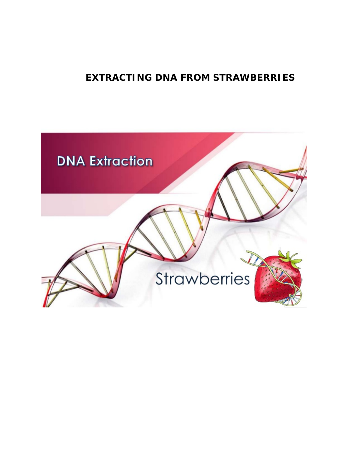# **EXTRACTING DNA FROM STRAWBERRIES**

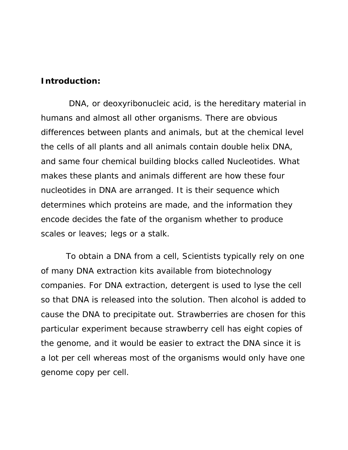#### **Introduction:**

 DNA, or deoxyribonucleic acid, is the hereditary material in humans and almost all other organisms. There are obvious differences between plants and animals, but at the chemical level the cells of all plants and all animals contain double helix DNA, and same four chemical building blocks called Nucleotides. What makes these plants and animals different are how these four nucleotides in DNA are arranged. It is their sequence which determines which proteins are made, and the information they encode decides the fate of the organism whether to produce scales or leaves; legs or a stalk.

 To obtain a DNA from a cell, Scientists typically rely on one of many DNA extraction kits available from biotechnology companies. For DNA extraction, detergent is used to lyse the cell so that DNA is released into the solution. Then alcohol is added to cause the DNA to precipitate out. Strawberries are chosen for this particular experiment because strawberry cell has eight copies of the genome, and it would be easier to extract the DNA since it is a lot per cell whereas most of the organisms would only have one genome copy per cell.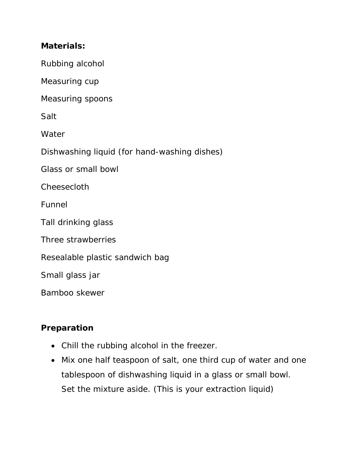### **Materials:**

Rubbing alcohol

Measuring cup

Measuring spoons

Salt

**Water** 

Dishwashing liquid (for hand-washing dishes)

Glass or small bowl

**Cheesecloth** 

Funnel

Tall drinking glass

Three strawberries

Resealable plastic sandwich bag

Small glass jar

Bamboo skewer

# **Preparation**

- Chill the rubbing alcohol in the freezer.
- Mix one half teaspoon of salt, one third cup of water and one tablespoon of dishwashing liquid in a glass or small bowl. Set the mixture aside. (This is your extraction liquid)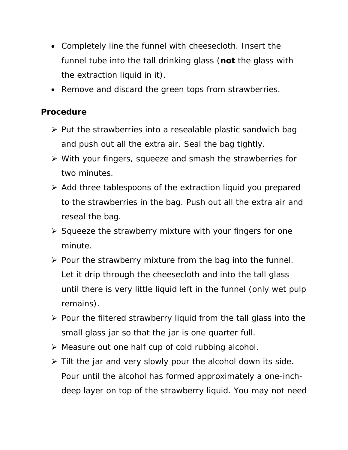- Completely line the funnel with cheesecloth. Insert the funnel tube into the tall drinking glass (**not** the glass with the extraction liquid in it).
- Remove and discard the green tops from strawberries.

### **Procedure**

- $\triangleright$  Put the strawberries into a resealable plastic sandwich bag and push out all the extra air. Seal the bag tightly.
- With your fingers, squeeze and smash the strawberries for two minutes.
- Add three tablespoons of the extraction liquid you prepared to the strawberries in the bag. Push out all the extra air and reseal the bag.
- $\triangleright$  Squeeze the strawberry mixture with your fingers for one minute.
- $\triangleright$  Pour the strawberry mixture from the bag into the funnel. Let it drip through the cheesecloth and into the tall glass until there is very little liquid left in the funnel (only wet pulp remains).
- $\triangleright$  Pour the filtered strawberry liquid from the tall glass into the small glass jar so that the jar is one quarter full.
- Measure out one half cup of cold rubbing alcohol.
- $\triangleright$  Tilt the jar and very slowly pour the alcohol down its side. Pour until the alcohol has formed approximately a one-inchdeep layer on top of the strawberry liquid. You may not need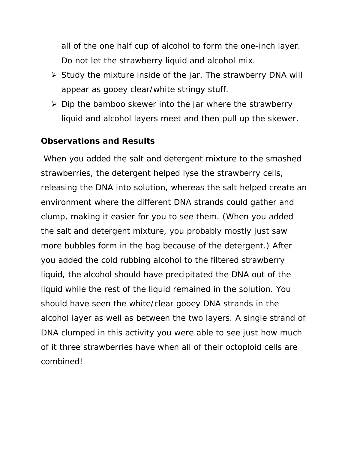all of the one half cup of alcohol to form the one-inch layer. Do not let the strawberry liquid and alcohol mix.

- $\triangleright$  Study the mixture inside of the jar. The strawberry DNA will appear as gooey clear/white stringy stuff.
- $\triangleright$  Dip the bamboo skewer into the jar where the strawberry liquid and alcohol layers meet and then pull up the skewer.

### **Observations and Results**

When you added the salt and detergent mixture to the smashed strawberries, the detergent helped lyse the strawberry cells, releasing the DNA into solution, whereas the salt helped create an environment where the different DNA strands could gather and clump, making it easier for you to see them. (When you added the salt and detergent mixture, you probably mostly just saw more bubbles form in the bag because of the detergent.) After you added the cold rubbing alcohol to the filtered strawberry liquid, the alcohol should have precipitated the DNA out of the liquid while the rest of the liquid remained in the solution. You should have seen the white/clear gooey DNA strands in the alcohol layer as well as between the two layers. A single strand of DNA clumped in this activity you were able to see just how much of it three strawberries have when all of their octoploid cells are combined!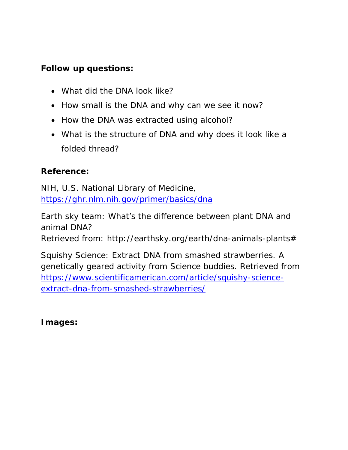# **Follow up questions:**

- What did the DNA look like?
- How small is the DNA and why can we see it now?
- How the DNA was extracted using alcohol?
- What is the structure of DNA and why does it look like a folded thread?

# **Reference:**

NIH, U.S. National Library of Medicine, <https://ghr.nlm.nih.gov/primer/basics/dna>

Earth sky team: What's the difference between plant DNA and animal DNA?

Retrieved from: http://earthsky.org/earth/dna-animals-plants#

Squishy Science: Extract DNA from smashed strawberries. A genetically geared activity from Science buddies. Retrieved from [https://www.scientificamerican.com/article/squishy-science](https://www.scientificamerican.com/article/squishy-science-extract-dna-from-smashed-strawberries/)[extract-dna-from-smashed-strawberries/](https://www.scientificamerican.com/article/squishy-science-extract-dna-from-smashed-strawberries/)

**Images:**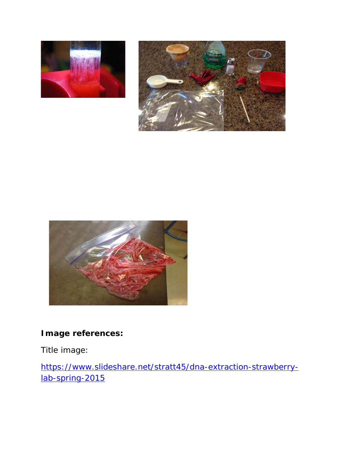





# **Image references:**

Title image:

[https://www.slideshare.net/stratt45/dna-extraction-strawberry](https://www.slideshare.net/stratt45/dna-extraction-strawberry-lab-spring-2015)[lab-spring-2015](https://www.slideshare.net/stratt45/dna-extraction-strawberry-lab-spring-2015)